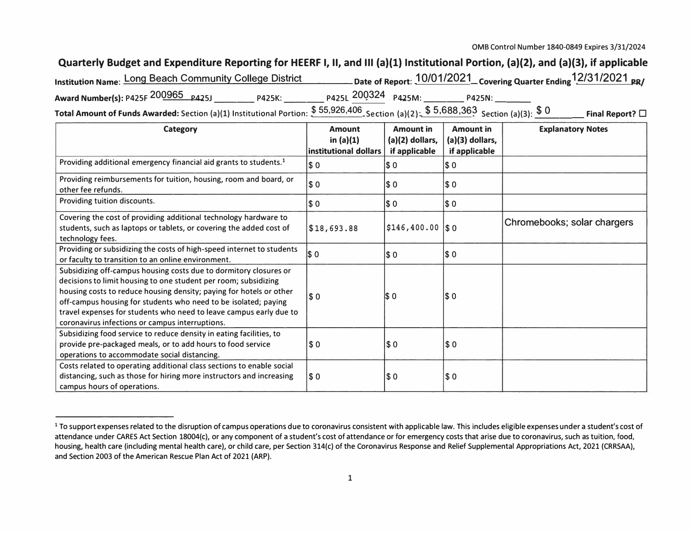## **Quarterly Budget and Expenditure Reporting for HEERF I, II, and Ill (a)(l) Institutional Portion, (a)(2), and (a)(3), if applicable**

| Institution Name: Long Beach Community College District                                                                              |                     | - Date of Report: $10/01/2021$ Covering Quarter Ending $12/31/2021$ $_{\tt PR}/$ |                         |
|--------------------------------------------------------------------------------------------------------------------------------------|---------------------|----------------------------------------------------------------------------------|-------------------------|
| Award Number(s): P425F 200965 P425J<br><b>P425K:</b>                                                                                 | P425L 200324 P425M: | <b>P425N:</b>                                                                    |                         |
| Total Amount of Funds Awarded: Section (a)(1) Institutional Portion: $$55,926,406$ Section (a)(2): $$5,688,363$ Section (a)(3): $$0$ |                     |                                                                                  | Final Report? $\square$ |

| <b>Category</b>                                                                                                                                                                                                                                                                                                                                                                                         | <b>Amount</b><br>in $(a)(1)$<br>linstitutional dollars | <b>Amount in</b><br>(a)(2) dollars,<br>if applicable | <b>Amount in</b><br>(a)(3) dollars,<br>if applicable | <b>Explanatory Notes</b>    |
|---------------------------------------------------------------------------------------------------------------------------------------------------------------------------------------------------------------------------------------------------------------------------------------------------------------------------------------------------------------------------------------------------------|--------------------------------------------------------|------------------------------------------------------|------------------------------------------------------|-----------------------------|
| Providing additional emergency financial aid grants to students. <sup>1</sup>                                                                                                                                                                                                                                                                                                                           | I\$ 0                                                  | <b>SO</b>                                            | IS 0                                                 |                             |
| Providing reimbursements for tuition, housing, room and board, or<br>other fee refunds.                                                                                                                                                                                                                                                                                                                 | \$ 0                                                   | \$0                                                  | $\sqrt{50}$                                          |                             |
| Providing tuition discounts.                                                                                                                                                                                                                                                                                                                                                                            | \$ 0                                                   | \$ 0                                                 | $\sqrt{50}$                                          |                             |
| Covering the cost of providing additional technology hardware to<br>students, such as laptops or tablets, or covering the added cost of<br>technology fees.                                                                                                                                                                                                                                             | $\$18,693.88$                                          | $$146, 400.00$ \\$0                                  |                                                      | Chromebooks; solar chargers |
| Providing or subsidizing the costs of high-speed internet to students<br>or faculty to transition to an online environment.                                                                                                                                                                                                                                                                             | \$ 0                                                   | $ \$0$                                               | \$ 0                                                 |                             |
| Subsidizing off-campus housing costs due to dormitory closures or<br>decisions to limit housing to one student per room; subsidizing<br>housing costs to reduce housing density; paying for hotels or other<br>off-campus housing for students who need to be isolated; paying<br>travel expenses for students who need to leave campus early due to<br>coronavirus infections or campus interruptions. | <b>SO</b>                                              | $ \$0$                                               | \$ 0                                                 |                             |
| Subsidizing food service to reduce density in eating facilities, to<br>provide pre-packaged meals, or to add hours to food service<br>operations to accommodate social distancing.                                                                                                                                                                                                                      | $\vert$ \$0                                            | \$0                                                  | $\sqrt{50}$                                          |                             |
| Costs related to operating additional class sections to enable social<br>distancing, such as those for hiring more instructors and increasing<br>campus hours of operations.                                                                                                                                                                                                                            | <b>SO</b>                                              | \$0                                                  | \$0                                                  |                             |

<sup>&</sup>lt;sup>1</sup> To support expenses related to the disruption of campus operations due to coronavirus consistent with applicable law. This includes eligible expenses under a student's cost of attendance under CARES Act Section 18004(c), or any component of a student's cost of attendance or for emergency costs that arise due to coronavirus, such as tuition, food, housing, health care (including mental health care), or child care, per Section 314(c) of the Coronavirus Response and Relief Supplemental Appropriations Act, 2021 (CRRSAA), and Section 2003 of the American Rescue Plan Act of 2021 (ARP).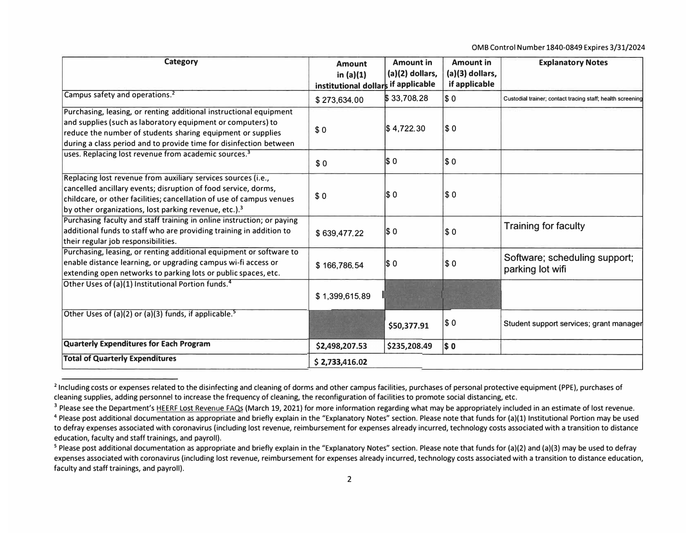0MB Control Number 1840-0849 Expires 3/31/2024

| <b>Category</b>                                                                                                                                                                                                                                                              | <b>Amount</b><br>in $(a)(1)$<br>institutional dollars if applicable | <b>Amount in</b><br>$(a)(2)$ dollars, | <b>Amount in</b><br>(a)(3) dollars,<br>if applicable | <b>Explanatory Notes</b>                                   |
|------------------------------------------------------------------------------------------------------------------------------------------------------------------------------------------------------------------------------------------------------------------------------|---------------------------------------------------------------------|---------------------------------------|------------------------------------------------------|------------------------------------------------------------|
| Campus safety and operations. <sup>2</sup>                                                                                                                                                                                                                                   | \$273,634.00                                                        | \$33,708.28                           | \$0                                                  | Custodial trainer; contact tracing staff; health screening |
| Purchasing, leasing, or renting additional instructional equipment<br>and supplies (such as laboratory equipment or computers) to<br>reduce the number of students sharing equipment or supplies<br>during a class period and to provide time for disinfection between       | \$0                                                                 | $\frac{1}{9}$ 4,722,30                | \$0                                                  |                                                            |
| uses. Replacing lost revenue from academic sources. <sup>3</sup>                                                                                                                                                                                                             | \$0                                                                 | IS 0                                  | \$0                                                  |                                                            |
| Replacing lost revenue from auxiliary services sources (i.e.,<br>cancelled ancillary events; disruption of food service, dorms,<br>childcare, or other facilities; cancellation of use of campus venues<br>by other organizations, lost parking revenue, etc.). <sup>3</sup> | \$0                                                                 | I\$ 0                                 | $\sqrt{50}$                                          |                                                            |
| Purchasing faculty and staff training in online instruction; or paying<br>additional funds to staff who are providing training in addition to<br>their regular job responsibilities.                                                                                         | \$639,477.22                                                        | I\$ 0                                 | s <sub>0</sub>                                       | <b>Training for faculty</b>                                |
| Purchasing, leasing, or renting additional equipment or software to<br>enable distance learning, or upgrading campus wi-fi access or<br>extending open networks to parking lots or public spaces, etc.                                                                       | \$166,786.54                                                        | I\$ 0                                 | \$0                                                  | Software; scheduling support;<br>parking lot wifi          |
| Other Uses of (a)(1) Institutional Portion funds. <sup>4</sup>                                                                                                                                                                                                               | \$1,399,615.89                                                      |                                       |                                                      |                                                            |
| Other Uses of (a)(2) or (a)(3) funds, if applicable. <sup>5</sup>                                                                                                                                                                                                            |                                                                     | \$50,377.91                           | \$0                                                  | Student support services; grant manager                    |
| Quarterly Expenditures for Each Program                                                                                                                                                                                                                                      | \$2,498,207.53                                                      | \$235,208.49                          | <b>\$0</b>                                           |                                                            |
| <b>Total of Quarterly Expenditures</b>                                                                                                                                                                                                                                       | \$2,733,416.02                                                      |                                       |                                                      |                                                            |

<sup>&</sup>lt;sup>2</sup> Including costs or expenses related to the disinfecting and cleaning of dorms and other campus facilities, purchases of personal protective equipment (PPE), purchases of cleaning supplies, adding personnel to increase the frequency of cleaning, the reconfiguration of facilities to promote social distancing, etc.

<sup>&</sup>lt;sup>3</sup> Please see the Department's HEERF Lost Revenue FAQs (March 19, 2021) for more information regarding what may be appropriately included in an estimate of lost revenue. <sup>4</sup> Please post additional documentation as appropriate and briefly explain in the "Explanatory Notes" section. Please note that funds for (a)(1) Institutional Portion may be used to defray expenses associated with coronavirus (including lost revenue, reimbursement for expenses already incurred, technology costs associated with a transition to distance education, faculty and staff trainings, and payroll).

<sup>&</sup>lt;sup>5</sup> Please post additional documentation as appropriate and briefly explain in the "Explanatory Notes" section. Please note that funds for (a)(2) and (a)(3) may be used to defray expenses associated with coronavirus (including lost revenue, reimbursement for expenses already incurred, technology costs associated with a transition to distance education, faculty and staff trainings, and payroll).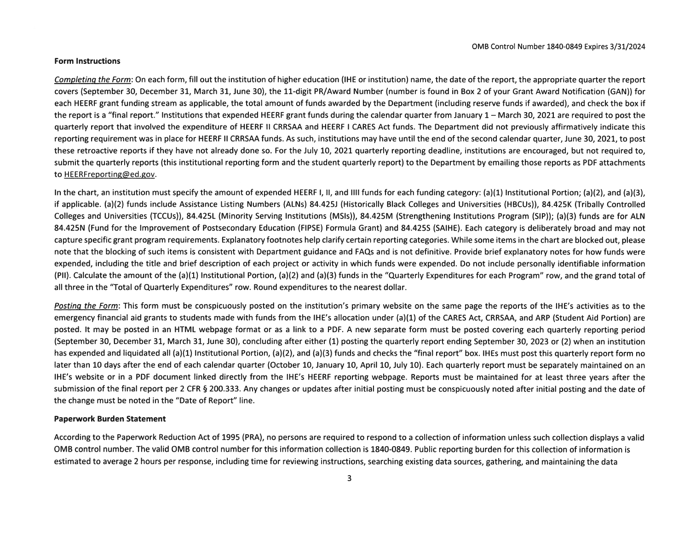## **Form Instructions**

Completing the Form: On each form, fill out the institution of higher education (IHE or institution) name, the date of the report, the appropriate quarter the report covers (September 30, December 31, March 31, June 30), the 11-digit PR/Award Number (number is found in Box 2 of your Grant Award Notification (GAN)) for each HEERF grant funding stream as applicable, the total amount of funds awarded by the Department (including reserve funds if awarded), and check the box if the report is a "final report." Institutions that expended HEERF grant funds during the calendar quarter from January 1 – March 30, 2021 are required to post the guarterly report that involved the expenditure of HEERF II CRRSAA and HEERF I CARES Act funds. The Department did not previously affirmatively indicate this reporting requirement was in place for HEERF II CRRSAA funds. As such, institutions may have until the end of the second calendar quarter, June 30, 2021, to post these retroactive reports if they have not already done so. For the July 10, 2021 quarterly reporting deadline, institutions are encouraged, but not required to, submit the quarterly reports (this institutional reporting form and the student quarterly report) to the Department by emailing those reports as PDF attachments to HEERFreporting@ed.gov.

In the chart, an institution must specify the amount of expended HEERF I. II, and IIII funds for each funding category:  $(a)(1)$  Institutional Portion:  $(a)(2)$ , and  $(a)(3)$ . if applicable. (a)(2) funds include Assistance Listing Numbers (ALNs) 84.425J (Historically Black Colleges and Universities (HBCUs)), 84.425K (Tribally Controlled Colleges and Universities (TCCUs)), 84.425L (Minority Serving Institutions (MSIs)), 84.425M (Strengthening Institutions Program (SIP)); (a)(3) funds are for ALN 84.425N (Fund for the Improvement of Postsecondary Education (FIPSE) Formula Grant) and 84.425S (SAIHE). Each category is deliberately broad and may not capture specific grant program requirements. Explanatory footnotes help clarify certain reporting categories. While some items in the chart are blocked out, please note that the blocking of such items is consistent with Department guidance and FAQs and is not definitive. Provide brief explanatory notes for how funds were expended, including the title and brief description of each project or activity in which funds were expended. Do not include personally identifiable information (PII). Calculate the amount of the (a)(1) Institutional Portion, (a)(2) and (a)(3) funds in the "Quarterly Expenditures for each Program" row, and the grand total of all three in the "Total of Quarterly Expenditures" row. Round expenditures to the nearest dollar.

Posting the Form: This form must be conspicuously posted on the institution's primary website on the same page the reports of the IHE's activities as to the emergency financial aid grants to students made with funds from the IHE's allocation under (a)(1) of the CARES Act, CRRSAA, and ARP (Student Aid Portion) are posted. It may be posted in an HTML webpage format or as a link to a PDF. A new separate form must be posted covering each quarterly reporting period (September 30, December 31, March 31, June 30), concluding after either (1) posting the quarterly report ending September 30, 2023 or (2) when an institution has expended and liquidated all (a)(1) Institutional Portion, (a)(2), and (a)(3) funds and checks the "final report" box. IHEs must post this quarterly report form no later than 10 days after the end of each calendar quarter (October 10, January 10, April 10, July 10). Each quarterly report must be separately maintained on an IHE's website or in a PDF document linked directly from the IHE's HEERF reporting webpage. Reports must be maintained for at least three years after the submission of the final report per 2 CFR § 200.333. Any changes or updates after initial posting must be conspicuously noted after initial posting and the date of the change must be noted in the "Date of Report" line.

## **Paperwork Burden Statement**

According to the Paperwork Reduction Act of 1995 (PRA), no persons are required to respond to a collection of information unless such collection displays a valid OMB control number. The valid OMB control number for this information collection is 1840-0849. Public reporting burden for this collection of information is estimated to average 2 hours per response, including time for reviewing instructions, searching existing data sources, gathering, and maintaining the data